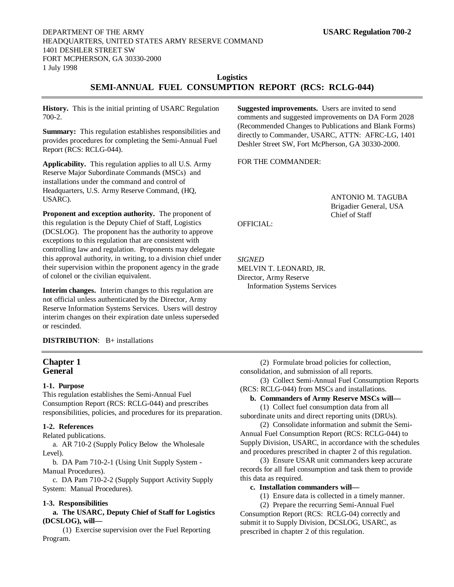# **Logistics SEMI-ANNUAL FUEL CONSUMPTION REPORT (RCS: RCLG-044)**

**History.** This is the initial printing of USARC Regulation 700-2.

**Summary:** This regulation establishes responsibilities and provides procedures for completing the Semi-Annual Fuel Report (RCS: RCLG-044).

**Applicability.** This regulation applies to all U.S. Army Reserve Major Subordinate Commands (MSCs) and installations under the command and control of Headquarters, U.S. Army Reserve Command, (HQ, USARC).

**Proponent and exception authority.** The proponent of this regulation is the Deputy Chief of Staff, Logistics (DCSLOG). The proponent has the authority to approve exceptions to this regulation that are consistent with controlling law and regulation. Proponents may delegate this approval authority, in writing, to a division chief under their supervision within the proponent agency in the grade of colonel or the civilian equivalent.

**Interim changes.** Interim changes to this regulation are not official unless authenticated by the Director, Army Reserve Information Systems Services. Users will destroy interim changes on their expiration date unless superseded or rescinded.

**DISTRIBUTION**: B+ installations

## **Chapter 1 General**

## **1-1. Purpose**

This regulation establishes the Semi-Annual Fuel Consumption Report (RCS: RCLG-044) and prescribes responsibilities, policies, and procedures for its preparation.

#### **1-2. References**

Related publications.

a. AR 710-2 (Supply Policy Below the Wholesale Level).

b. DA Pam 710-2-1 (Using Unit Supply System - Manual Procedures).

c. DA Pam 710-2-2 (Supply Support Activity Supply System: Manual Procedures).

## **1-3. Responsibilities**

## **a. The USARC, Deputy Chief of Staff for Logistics (DCSLOG), will—**

(1) Exercise supervision over the Fuel Reporting Program.

**Suggested improvements.** Users are invited to send comments and suggested improvements on DA Form 2028 (Recommended Changes to Publications and Blank Forms) directly to Commander, USARC, ATTN: AFRC-LG, 1401 Deshler Street SW, Fort McPherson, GA 30330-2000.

FOR THE COMMANDER:

ANTONIO M. TAGUBA Brigadier General, USA Chief of Staff

OFFICIAL:

*SIGNED* MELVIN T. LEONARD, JR. Director, Army Reserve Information Systems Services

(2) Formulate broad policies for collection, consolidation, and submission of all reports.

(3) Collect Semi-Annual Fuel Consumption Reports (RCS: RCLG-044) from MSCs and installations.

## **b. Commanders of Army Reserve MSCs will—**

(1) Collect fuel consumption data from all subordinate units and direct reporting units (DRUs).

(2) Consolidate information and submit the Semi-Annual Fuel Consumption Report (RCS: RCLG-044) to Supply Division, USARC, in accordance with the schedules and procedures prescribed in chapter 2 of this regulation.

(3) Ensure USAR unit commanders keep accurate records for all fuel consumption and task them to provide this data as required.

#### **c. Installation commanders will—**

(1) Ensure data is collected in a timely manner.

(2) Prepare the recurring Semi-Annual Fuel Consumption Report (RCS: RCLG-04) correctly and submit it to Supply Division, DCSLOG, USARC, as prescribed in chapter 2 of this regulation.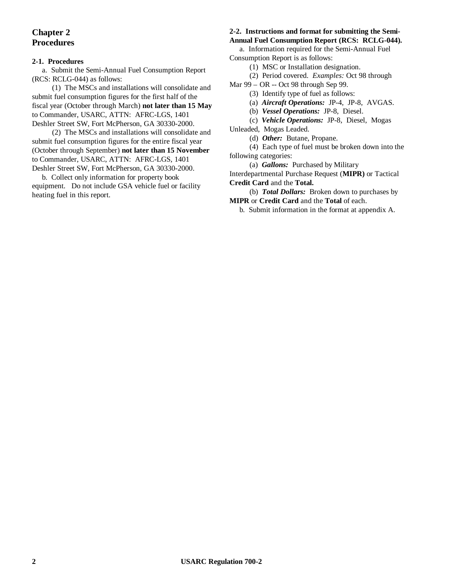# **Chapter 2 Procedures**

# **2-1. Procedures**

a. Submit the Semi-Annual Fuel Consumption Report (RCS: RCLG-044) as follows:

(1) The MSCs and installations will consolidate and submit fuel consumption figures for the first half of the fiscal year (October through March) **not later than 15 May** to Commander, USARC, ATTN: AFRC-LGS, 1401 Deshler Street SW, Fort McPherson, GA 30330-2000.

(2) The MSCs and installations will consolidate and submit fuel consumption figures for the entire fiscal year (October through September) **not later than 15 November** to Commander, USARC, ATTN: AFRC-LGS, 1401 Deshler Street SW, Fort McPherson, GA 30330-2000.

b. Collect only information for property book equipment. Do not include GSA vehicle fuel or facility heating fuel in this report.

#### **2-2. Instructions and format for submitting the Semi-Annual Fuel Consumption Report (RCS: RCLG-044).**

a. Information required for the Semi-Annual Fuel Consumption Report is as follows:

(1) MSC or Installation designation.

(2) Period covered. *Examples:* Oct 98 through

Mar 99 – OR -- Oct 98 through Sep 99.

(3) Identify type of fuel as follows:

(a) *Aircraft Operations:* JP-4, JP-8, AVGAS.

(b) *Vessel Operations:* JP-8, Diesel.

(c) *Vehicle Operations:* JP-8, Diesel, Mogas

Unleaded, Mogas Leaded.

(d) *Other:* Butane, Propane.

(4) Each type of fuel must be broken down into the following categories:

(a) *Gallons:* Purchased by Military

Interdepartmental Purchase Request (**MIPR)** or Tactical **Credit Card** and the **Total.**

(b)*Total Dollars:* Broken down to purchases by **MIPR** or **Credit Card** and the **Total** of each.

b. Submit information in the format at appendix A.